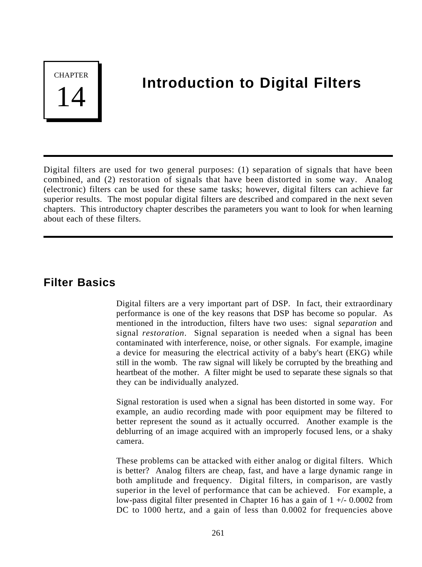**CHAPTER** 

# **Introduction to Digital Filters**

Digital filters are used for two general purposes: (1) separation of signals that have been combined, and (2) restoration of signals that have been distorted in some way. Analog (electronic) filters can be used for these same tasks; however, digital filters can achieve far superior results. The most popular digital filters are described and compared in the next seven chapters. This introductory chapter describes the parameters you want to look for when learning about each of these filters.

# **Filter Basics**

Digital filters are a very important part of DSP. In fact, their extraordinary performance is one of the key reasons that DSP has become so popular. As mentioned in the introduction, filters have two uses: signal *separation* and signal *restoration*. Signal separation is needed when a signal has been contaminated with interference, noise, or other signals. For example, imagine a device for measuring the electrical activity of a baby's heart (EKG) while still in the womb. The raw signal will likely be corrupted by the breathing and heartbeat of the mother. A filter might be used to separate these signals so that they can be individually analyzed.

Signal restoration is used when a signal has been distorted in some way. For example, an audio recording made with poor equipment may be filtered to better represent the sound as it actually occurred. Another example is the deblurring of an image acquired with an improperly focused lens, or a shaky camera.

These problems can be attacked with either analog or digital filters. Which is better? Analog filters are cheap, fast, and have a large dynamic range in both amplitude and frequency. Digital filters, in comparison, are vastly superior in the level of performance that can be achieved. For example, a low-pass digital filter presented in Chapter 16 has a gain of 1 +/- 0.0002 from DC to 1000 hertz, and a gain of less than 0.0002 for frequencies above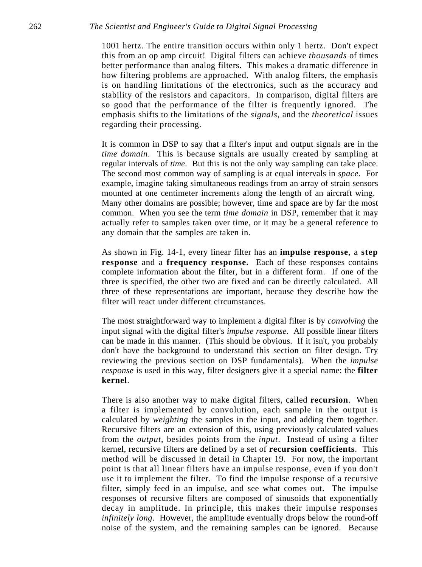1001 hertz. The entire transition occurs within only 1 hertz. Don't expect this from an op amp circuit! Digital filters can achieve *thousands* of times better performance than analog filters. This makes a dramatic difference in how filtering problems are approached. With analog filters, the emphasis is on handling limitations of the electronics, such as the accuracy and stability of the resistors and capacitors. In comparison, digital filters are so good that the performance of the filter is frequently ignored. The emphasis shifts to the limitations of the *signals*, and the *theoretical* issues regarding their processing.

It is common in DSP to say that a filter's input and output signals are in the *time domain*. This is because signals are usually created by sampling at regular intervals of *time*. But this is not the only way sampling can take place. The second most common way of sampling is at equal intervals in *space*. For example, imagine taking simultaneous readings from an array of strain sensors mounted at one centimeter increments along the length of an aircraft wing. Many other domains are possible; however, time and space are by far the most common. When you see the term *time domain* in DSP, remember that it may actually refer to samples taken over time, or it may be a general reference to any domain that the samples are taken in.

As shown in Fig. 14-1, every linear filter has an **impulse response**, a **step response** and a **frequency response.** Each of these responses contains complete information about the filter, but in a different form. If one of the three is specified, the other two are fixed and can be directly calculated. All three of these representations are important, because they describe how the filter will react under different circumstances.

The most straightforward way to implement a digital filter is by *convolving* the input signal with the digital filter's *impulse response*. All possible linear filters can be made in this manner. (This should be obvious. If it isn't, you probably don't have the background to understand this section on filter design. Try reviewing the previous section on DSP fundamentals). When the *impulse response* is used in this way, filter designers give it a special name: the **filter kernel**.

There is also another way to make digital filters, called **recursion**. When a filter is implemented by convolution, each sample in the output is calculated by *weighting* the samples in the input, and adding them together. Recursive filters are an extension of this, using previously calculated values from the *output*, besides points from the *input*. Instead of using a filter kernel, recursive filters are defined by a set of **recursion coefficients**. This method will be discussed in detail in Chapter 19. For now, the important point is that all linear filters have an impulse response, even if you don't use it to implement the filter. To find the impulse response of a recursive filter, simply feed in an impulse, and see what comes out. The impulse responses of recursive filters are composed of sinusoids that exponentially decay in amplitude. In principle, this makes their impulse responses *infinitely long*. However, the amplitude eventually drops below the round-off noise of the system, and the remaining samples can be ignored. Because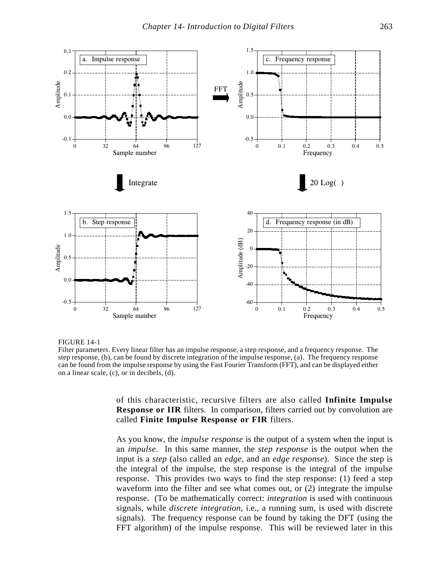

FIGURE 14-1

Filter parameters. Every linear filter has an impulse response, a step response, and a frequency response. The step response, (b), can be found by discrete integration of the impulse response, (a). The frequency response can be found from the impulse response by using the Fast Fourier Transform (FFT), and can be displayed either on a linear scale, (c), or in decibels, (d).

of this characteristic, recursive filters are also called **Infinite Impulse Response or IIR** filters. In comparison, filters carried out by convolution are called **Finite Impulse Response or FIR** filters.

As you know, the *impulse response* is the output of a system when the input is an *impulse*. In this same manner, the *step response* is the output when the input is a *step* (also called an *edge*, and an *edge response*). Since the step is the integral of the impulse, the step response is the integral of the impulse response. This provides two ways to find the step response: (1) feed a step waveform into the filter and see what comes out, or (2) integrate the impulse response. (To be mathematically correct: *integration* is used with continuous signals, while *discrete integration*, i.e., a running sum, is used with discrete signals). The frequency response can be found by taking the DFT (using the FFT algorithm) of the impulse response. This will be reviewed later in this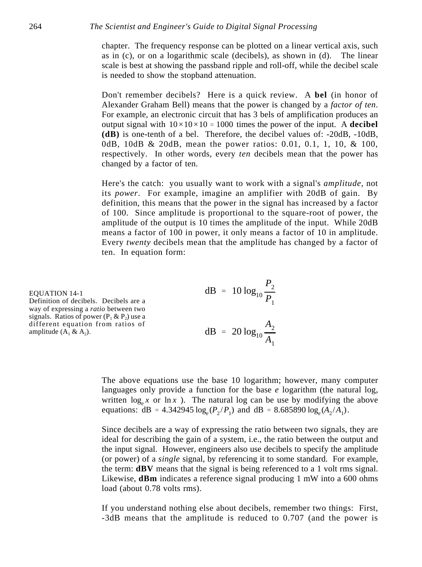chapter. The frequency response can be plotted on a linear vertical axis, such as in (c), or on a logarithmic scale (decibels), as shown in (d). The linear scale is best at showing the passband ripple and roll-off, while the decibel scale is needed to show the stopband attenuation.

Don't remember decibels? Here is a quick review. A **bel** (in honor of Alexander Graham Bell) means that the power is changed by a *factor of ten*. For example, an electronic circuit that has 3 bels of amplification produces an output signal with  $10 \times 10 \times 10 = 1000$  times the power of the input. A **decibel (dB)** is one-tenth of a bel. Therefore, the decibel values of: -20dB, -10dB, 0dB, 10dB & 20dB, mean the power ratios: 0.01, 0.1, 1, 10, & 100, respectively. In other words, every *ten* decibels mean that the power has changed by a factor of ten.

Here's the catch: you usually want to work with a signal's *amplitude*, not its *power*. For example, imagine an amplifier with 20dB of gain. By definition, this means that the power in the signal has increased by a factor of 100. Since amplitude is proportional to the square-root of power, the amplitude of the output is 10 times the amplitude of the input. While 20dB means a factor of 100 in power, it only means a factor of 10 in amplitude. Every *twenty* decibels mean that the amplitude has changed by a factor of ten. In equation form:

EQUATION 14-1 Definition of decibels. Decibels are a way of expressing a *ratio* between two signals. Ratios of power  $(P_1 \& P_2)$  use a different equation from ratios of amplitude  $(A_1 \& A_2)$ .

dB = 
$$
10 \log_{10} \frac{P_2}{P_1}
$$
  
dB =  $20 \log_{10} \frac{A_2}{A}$ 

*P*<sup>2</sup>

*A*1

The above equations use the base 10 logarithm; however, many computer languages only provide a function for the base *e* logarithm (the natural log, written  $\log_e x$  or  $\ln x$ ). The natural log can be use by modifying the above equations: dB = 4.342945  $\log_e(P_2/P_1)$  and dB = 8.685890  $\log_e(A_2/A_1)$ .

Since decibels are a way of expressing the ratio between two signals, they are ideal for describing the gain of a system, i.e., the ratio between the output and the input signal. However, engineers also use decibels to specify the amplitude (or power) of a *single* signal, by referencing it to some standard. For example, the term: **dBV** means that the signal is being referenced to a 1 volt rms signal. Likewise, **dBm** indicates a reference signal producing 1 mW into a 600 ohms load (about 0.78 volts rms).

If you understand nothing else about decibels, remember two things: First, -3dB means that the amplitude is reduced to 0.707 (and the power is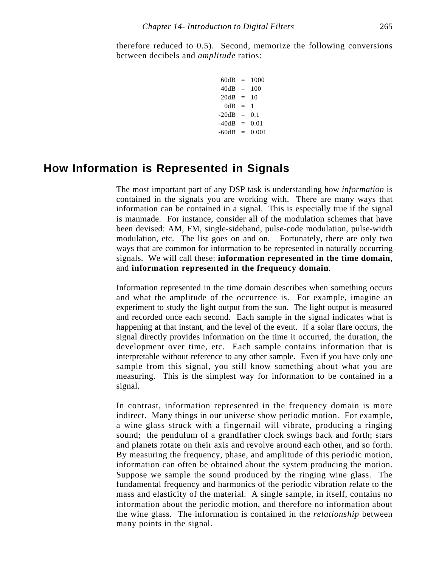therefore reduced to 0.5). Second, memorize the following conversions between decibels and *amplitude* ratios:

> 60dB = 1000  $40dB = 100$  $20dB = 10$  $0dB = 1$  $-20dB = 0.1$  $-40dB = 0.01$  $-60dB = 0.001$

## **How Information is Represented in Signals**

The most important part of any DSP task is understanding how *information* is contained in the signals you are working with. There are many ways that information can be contained in a signal. This is especially true if the signal is manmade. For instance, consider all of the modulation schemes that have been devised: AM, FM, single-sideband, pulse-code modulation, pulse-width modulation, etc. The list goes on and on. Fortunately, there are only two ways that are common for information to be represented in naturally occurring signals. We will call these: **information represented in the time domain**, and **information represented in the frequency domain**.

Information represented in the time domain describes when something occurs and what the amplitude of the occurrence is. For example, imagine an experiment to study the light output from the sun. The light output is measured and recorded once each second. Each sample in the signal indicates what is happening at that instant, and the level of the event. If a solar flare occurs, the signal directly provides information on the time it occurred, the duration, the development over time, etc. Each sample contains information that is interpretable without reference to any other sample. Even if you have only one sample from this signal, you still know something about what you are measuring. This is the simplest way for information to be contained in a signal.

In contrast, information represented in the frequency domain is more indirect. Many things in our universe show periodic motion. For example, a wine glass struck with a fingernail will vibrate, producing a ringing sound; the pendulum of a grandfather clock swings back and forth; stars and planets rotate on their axis and revolve around each other, and so forth. By measuring the frequency, phase, and amplitude of this periodic motion, information can often be obtained about the system producing the motion. Suppose we sample the sound produced by the ringing wine glass. The fundamental frequency and harmonics of the periodic vibration relate to the mass and elasticity of the material. A single sample, in itself, contains no information about the periodic motion, and therefore no information about the wine glass. The information is contained in the *relationship* between many points in the signal.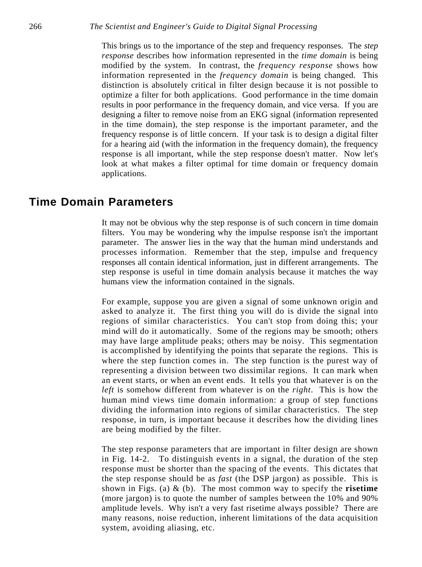This brings us to the importance of the step and frequency responses. The *step response* describes how information represented in the *time domain* is being modified by the system. In contrast, the *frequency response* shows how information represented in the *frequency domain* is being changed. This distinction is absolutely critical in filter design because it is not possible to optimize a filter for both applications. Good performance in the time domain results in poor performance in the frequency domain, and vice versa. If you are designing a filter to remove noise from an EKG signal (information represented in the time domain), the step response is the important parameter, and the frequency response is of little concern. If your task is to design a digital filter for a hearing aid (with the information in the frequency domain), the frequency response is all important, while the step response doesn't matter. Now let's look at what makes a filter optimal for time domain or frequency domain applications.

## **Time Domain Parameters**

It may not be obvious why the step response is of such concern in time domain filters. You may be wondering why the impulse response isn't the important parameter. The answer lies in the way that the human mind understands and processes information. Remember that the step, impulse and frequency responses all contain identical information, just in different arrangements. The step response is useful in time domain analysis because it matches the way humans view the information contained in the signals.

For example, suppose you are given a signal of some unknown origin and asked to analyze it. The first thing you will do is divide the signal into regions of similar characteristics. You can't stop from doing this; your mind will do it automatically. Some of the regions may be smooth; others may have large amplitude peaks; others may be noisy. This segmentation is accomplished by identifying the points that separate the regions. This is where the step function comes in. The step function is the purest way of representing a division between two dissimilar regions. It can mark when an event starts, or when an event ends. It tells you that whatever is on the *left* is somehow different from whatever is on the *right*. This is how the human mind views time domain information: a group of step functions dividing the information into regions of similar characteristics. The step response, in turn, is important because it describes how the dividing lines are being modified by the filter.

The step response parameters that are important in filter design are shown in Fig. 14-2. To distinguish events in a signal, the duration of the step response must be shorter than the spacing of the events. This dictates that the step response should be as *fast* (the DSP jargon) as possible. This is shown in Figs. (a) & (b). The most common way to specify the **risetime** (more jargon) is to quote the number of samples between the 10% and 90% amplitude levels. Why isn't a very fast risetime always possible? There are many reasons, noise reduction, inherent limitations of the data acquisition system, avoiding aliasing, etc.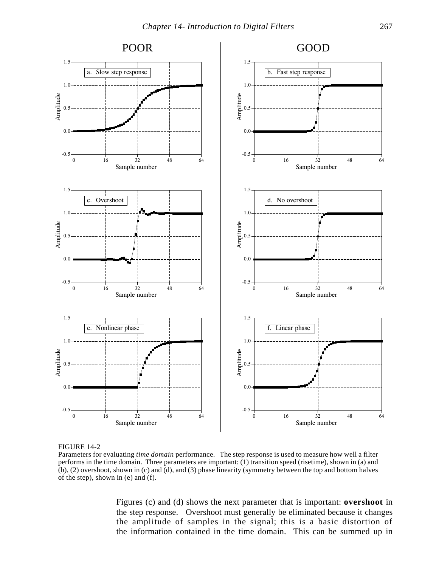

FIGURE 14-2

Parameters for evaluating *time domain* performance. The step response is used to measure how well a filter performs in the time domain. Three parameters are important: (1) transition speed (risetime), shown in (a) and (b), (2) overshoot, shown in (c) and (d), and (3) phase linearity (symmetry between the top and bottom halves of the step), shown in (e) and (f).

Figures (c) and (d) shows the next parameter that is important: **overshoot** in the step response. Overshoot must generally be eliminated because it changes the amplitude of samples in the signal; this is a basic distortion of the information contained in the time domain. This can be summed up in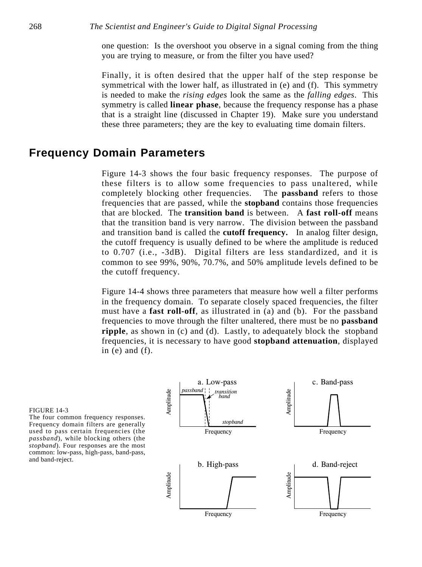one question: Is the overshoot you observe in a signal coming from the thing you are trying to measure, or from the filter you have used?

Finally, it is often desired that the upper half of the step response be symmetrical with the lower half, as illustrated in (e) and (f). This symmetry is needed to make the *rising edges* look the same as the *falling edges*. This symmetry is called **linear phase**, because the frequency response has a phase that is a straight line (discussed in Chapter 19). Make sure you understand these three parameters; they are the key to evaluating time domain filters.

# **Frequency Domain Parameters**

Figure 14-3 shows the four basic frequency responses. The purpose of these filters is to allow some frequencies to pass unaltered, while completely blocking other frequencies. The **passband** refers to those frequencies that are passed, while the **stopband** contains those frequencies that are blocked. The **transition band** is between. A **fast roll-off** means that the transition band is very narrow. The division between the passband and transition band is called the **cutoff frequency.** In analog filter design, the cutoff frequency is usually defined to be where the amplitude is reduced to 0.707 (i.e., -3dB). Digital filters are less standardized, and it is common to see 99%, 90%, 70.7%, and 50% amplitude levels defined to be the cutoff frequency.

Figure 14-4 shows three parameters that measure how well a filter performs in the frequency domain. To separate closely spaced frequencies, the filter must have a **fast roll-off**, as illustrated in (a) and (b). For the passband frequencies to move through the filter unaltered, there must be no **passband ripple**, as shown in (c) and (d). Lastly, to adequately block the stopband frequencies, it is necessary to have good **stopband attenuation**, displayed in  $(e)$  and  $(f)$ .



#### FIGURE 14-3

The four common frequency responses. Frequency domain filters are generally used to pass certain frequencies (the *passband*), while blocking others (the *stopband*). Four responses are the most common: low-pass, high-pass, band-pass, and band-reject.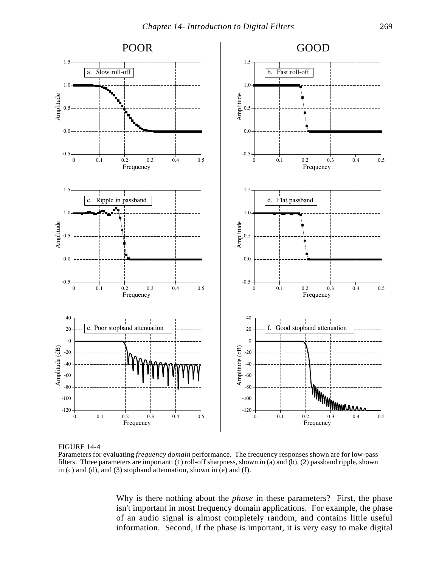

FIGURE 14-4

Parameters for evaluating *frequency domain* performance. The frequency responses shown are for low-pass filters. Three parameters are important: (1) roll-off sharpness, shown in (a) and (b), (2) passband ripple, shown in (c) and (d), and (3) stopband attenuation, shown in (e) and (f).

Why is there nothing about the *phase* in these parameters? First, the phase isn't important in most frequency domain applications. For example, the phase of an audio signal is almost completely random, and contains little useful information. Second, if the phase is important, it is very easy to make digital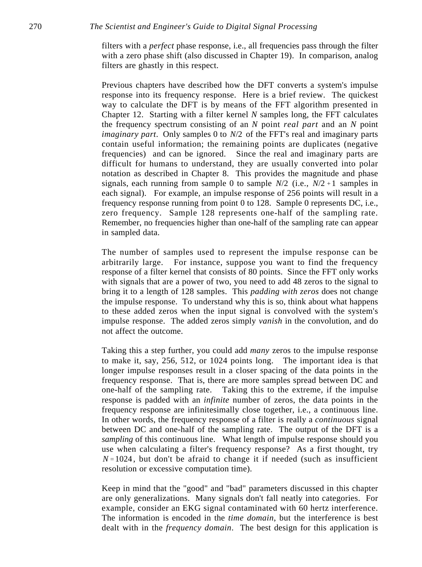filters with a *perfect* phase response, i.e., all frequencies pass through the filter with a zero phase shift (also discussed in Chapter 19). In comparison, analog filters are ghastly in this respect.

Previous chapters have described how the DFT converts a system's impulse response into its frequency response. Here is a brief review. The quickest way to calculate the DFT is by means of the FFT algorithm presented in Chapter 12. Starting with a filter kernel *N* samples long, the FFT calculates the frequency spectrum consisting of an *N* point *real part* and an *N* point *imaginary part*. Only samples 0 to *N*/2 of the FFT's real and imaginary parts contain useful information; the remaining points are duplicates (negative frequencies) and can be ignored. Since the real and imaginary parts are difficult for humans to understand, they are usually converted into polar notation as described in Chapter 8. This provides the magnitude and phase signals, each running from sample 0 to sample  $N/2$  (i.e.,  $N/2 + 1$  samples in each signal). For example, an impulse response of 256 points will result in a frequency response running from point 0 to 128. Sample 0 represents DC, i.e., zero frequency. Sample 128 represents one-half of the sampling rate. Remember, no frequencies higher than one-half of the sampling rate can appear in sampled data.

The number of samples used to represent the impulse response can be arbitrarily large. For instance, suppose you want to find the frequency response of a filter kernel that consists of 80 points. Since the FFT only works with signals that are a power of two, you need to add 48 zeros to the signal to bring it to a length of 128 samples. This *padding with zeros* does not change the impulse response. To understand why this is so, think about what happens to these added zeros when the input signal is convolved with the system's impulse response. The added zeros simply *vanish* in the convolution, and do not affect the outcome.

Taking this a step further, you could add *many* zeros to the impulse response to make it, say, 256, 512, or 1024 points long. The important idea is that longer impulse responses result in a closer spacing of the data points in the frequency response. That is, there are more samples spread between DC and one-half of the sampling rate. Taking this to the extreme, if the impulse response is padded with an *infinite* number of zeros, the data points in the frequency response are infinitesimally close together, i.e., a continuous line. In other words, the frequency response of a filter is really a *continuous* signal between DC and one-half of the sampling rate. The output of the DFT is a *sampling* of this continuous line. What length of impulse response should you use when calculating a filter's frequency response? As a first thought, try  $N=1024$ , but don't be afraid to change it if needed (such as insufficient resolution or excessive computation time).

Keep in mind that the "good" and "bad" parameters discussed in this chapter are only generalizations. Many signals don't fall neatly into categories. For example, consider an EKG signal contaminated with 60 hertz interference. The information is encoded in the *time domain*, but the interference is best dealt with in the *frequency domain*. The best design for this application is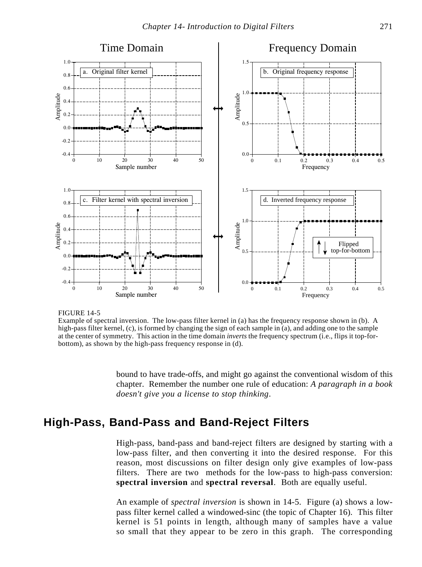

#### FIGURE 14-5

Example of spectral inversion. The low-pass filter kernel in (a) has the frequency response shown in (b). A high-pass filter kernel, (c), is formed by changing the sign of each sample in (a), and adding one to the sample at the center of symmetry. This action in the time domain *inverts* the frequency spectrum (i.e., flips it top-forbottom), as shown by the high-pass frequency response in (d).

bound to have trade-offs, and might go against the conventional wisdom of this chapter. Remember the number one rule of education: *A paragraph in a book doesn't give you a license to stop thinking*.

## **High-Pass, Band-Pass and Band-Reject Filters**

High-pass, band-pass and band-reject filters are designed by starting with a low-pass filter, and then converting it into the desired response. For this reason, most discussions on filter design only give examples of low-pass filters. There are two methods for the low-pass to high-pass conversion: **spectral inversion** and **spectral reversal**. Both are equally useful.

An example of *spectral inversion* is shown in 14-5. Figure (a) shows a lowpass filter kernel called a windowed-sinc (the topic of Chapter 16). This filter kernel is 51 points in length, although many of samples have a value so small that they appear to be zero in this graph. The corresponding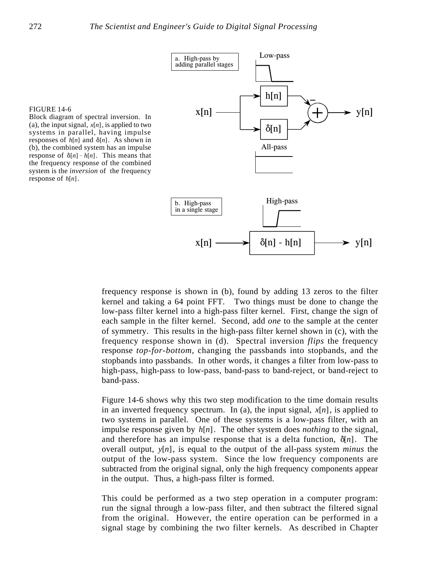

frequency response is shown in (b), found by adding 13 zeros to the filter kernel and taking a 64 point FFT. Two things must be done to change the low-pass filter kernel into a high-pass filter kernel. First, change the sign of each sample in the filter kernel. Second, add *one* to the sample at the center of symmetry. This results in the high-pass filter kernel shown in (c), with the frequency response shown in (d). Spectral inversion *flips* the frequency response *top-for-bottom*, changing the passbands into stopbands, and the stopbands into passbands. In other words, it changes a filter from low-pass to high-pass, high-pass to low-pass, band-pass to band-reject, or band-reject to band-pass.

Figure 14-6 shows why this two step modification to the time domain results in an inverted frequency spectrum. In (a), the input signal,  $x[n]$ , is applied to two systems in parallel. One of these systems is a low-pass filter, with an impulse response given by *h*[*n*]. The other system does *nothing* to the signal, and therefore has an impulse response that is a delta function,  $\delta[n]$ . The overall output, *y*[*n*], is equal to the output of the all-pass system *minus* the output of the low-pass system. Since the low frequency components are subtracted from the original signal, only the high frequency components appear in the output. Thus, a high-pass filter is formed.

This could be performed as a two step operation in a computer program: run the signal through a low-pass filter, and then subtract the filtered signal from the original. However, the entire operation can be performed in a signal stage by combining the two filter kernels. As described in Chapter

FIGURE 14-6

response of *h*[*n*].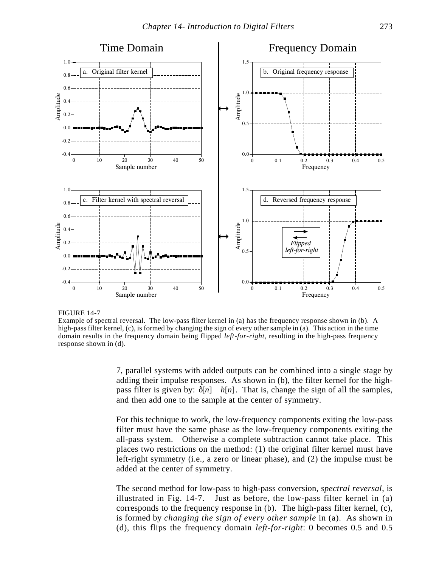

#### FIGURE 14-7

Example of spectral reversal. The low-pass filter kernel in (a) has the frequency response shown in (b). A high-pass filter kernel, (c), is formed by changing the sign of every other sample in (a). This action in the time domain results in the frequency domain being flipped *left-for-right*, resulting in the high-pass frequency response shown in (d).

7, parallel systems with added outputs can be combined into a single stage by adding their impulse responses. As shown in (b), the filter kernel for the highpass filter is given by:  $\delta[n] - h[n]$ . That is, change the sign of all the samples, and then add one to the sample at the center of symmetry.

For this technique to work, the low-frequency components exiting the low-pass filter must have the same phase as the low-frequency components exiting the all-pass system. Otherwise a complete subtraction cannot take place. This places two restrictions on the method: (1) the original filter kernel must have left-right symmetry (i.e., a zero or linear phase), and (2) the impulse must be added at the center of symmetry.

The second method for low-pass to high-pass conversion, *spectral reversal*, is illustrated in Fig. 14-7. Just as before, the low-pass filter kernel in (a) corresponds to the frequency response in (b). The high-pass filter kernel, (c), is formed by *changing the sign of every other sample* in (a). As shown in (d), this flips the frequency domain *left-for-right*: 0 becomes 0.5 and 0.5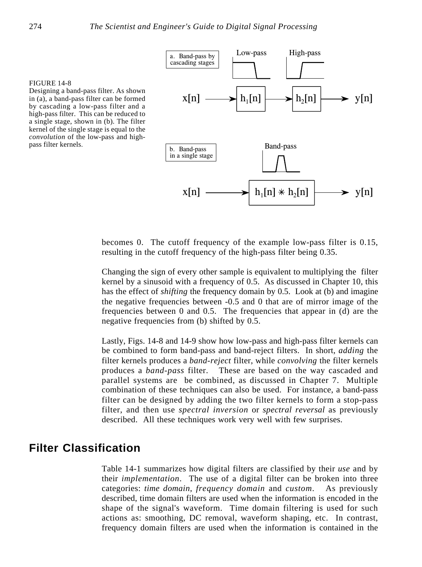

FIGURE 14-8 Designing a band-pass filter. As shown in (a), a band-pass filter can be formed by cascading a low-pass filter and a high-pass filter. This can be reduced to a single stage, shown in (b). The filter kernel of the single stage is equal to the *convolution* of the low-pass and highpass filter kernels.

> becomes 0. The cutoff frequency of the example low-pass filter is 0.15, resulting in the cutoff frequency of the high-pass filter being 0.35.

> Changing the sign of every other sample is equivalent to multiplying the filter kernel by a sinusoid with a frequency of 0.5. As discussed in Chapter 10, this has the effect of *shifting* the frequency domain by 0.5. Look at (b) and imagine the negative frequencies between -0.5 and 0 that are of mirror image of the frequencies between 0 and 0.5. The frequencies that appear in (d) are the negative frequencies from (b) shifted by 0.5.

> Lastly, Figs. 14-8 and 14-9 show how low-pass and high-pass filter kernels can be combined to form band-pass and band-reject filters. In short, *adding* the filter kernels produces a *band-reject* filter, while *convolving* the filter kernels produces a *band-pass* filter. These are based on the way cascaded and parallel systems are be combined, as discussed in Chapter 7. Multiple combination of these techniques can also be used. For instance, a band-pass filter can be designed by adding the two filter kernels to form a stop-pass filter, and then use *spectral inversion* or *spectral reversal* as previously described. All these techniques work very well with few surprises.

# **Filter Classification**

Table 14-1 summarizes how digital filters are classified by their *use* and by their *implementation*. The use of a digital filter can be broken into three categories: *time domain*, *frequency domain* and *custom*. As previously described, time domain filters are used when the information is encoded in the shape of the signal's waveform. Time domain filtering is used for such actions as: smoothing, DC removal, waveform shaping, etc. In contrast, frequency domain filters are used when the information is contained in the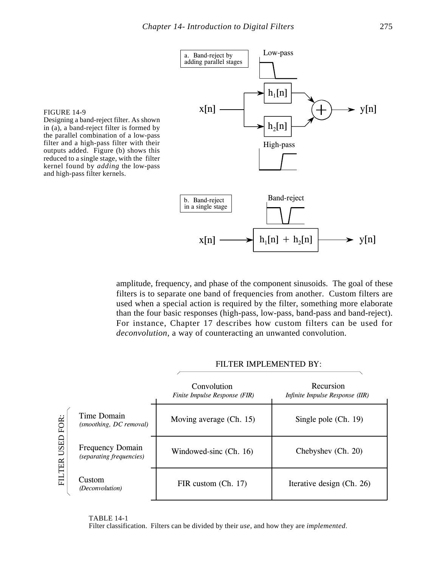

amplitude, frequency, and phase of the component sinusoids. The goal of these filters is to separate one band of frequencies from another. Custom filters are used when a special action is required by the filter, something more elaborate than the four basic responses (high-pass, low-pass, band-pass and band-reject). For instance, Chapter 17 describes how custom filters can be used for *deconvolution*, a way of counteracting an unwanted convolution.

#### FILTER IMPLEMENTED BY:

|                                      |                                              | Convolution<br>Finite Impulse Response (FIR) | Recursion<br>Infinite Impulse Response (IIR) |
|--------------------------------------|----------------------------------------------|----------------------------------------------|----------------------------------------------|
| FOR:<br><b>USED</b><br><b>FILTER</b> | Time Domain<br>(smoothing, DC removal)       | Moving average (Ch. 15)                      | Single pole (Ch. 19)                         |
|                                      | Frequency Domain<br>(separating frequencies) | Windowed-sinc (Ch. 16)                       | Chebyshev (Ch. 20)                           |
|                                      | Custom<br>(Deconvolution)                    | FIR custom (Ch. 17)                          | Iterative design (Ch. 26)                    |

TABLE 14-1 Filter classification. Filters can be divided by their *use*, and how they are *implemented*.